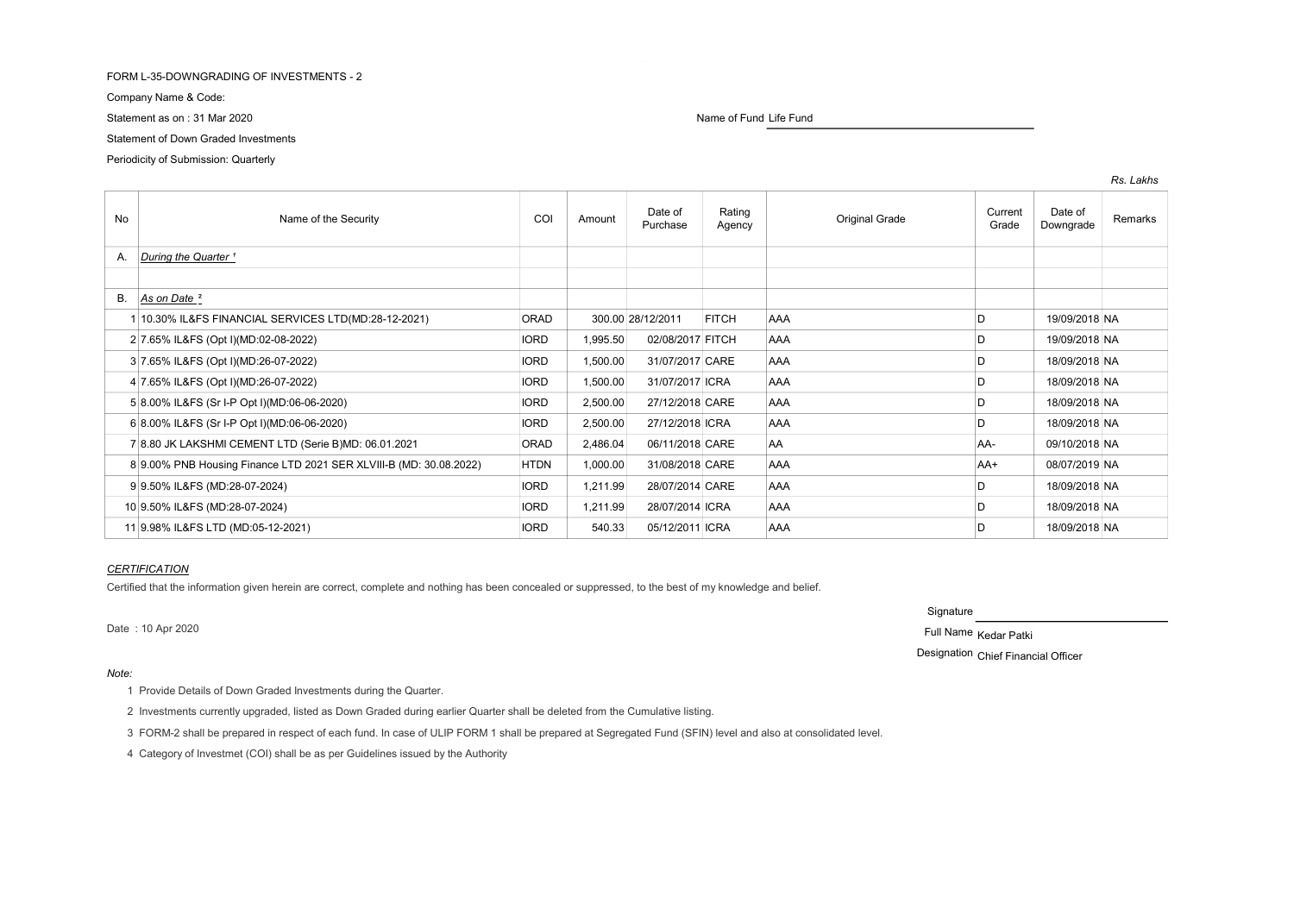## FORM L-35-DOWNGRADING OF INVESTMENTS - 2

Company Name & Code:

Statement as on : 31 Mar 2020 **Name of Fund Life Fund Life Fund Life Fund Life Fund** 

# Statement of Down Graded Investments

Periodicity of Submission: Quarterly

| No | Name of the Security                                               | COI         | Amount            | Date of<br>Purchase | Rating<br>Agency | Original Grade | Current<br>Grade | Date of<br>Downgrade | Remarks |
|----|--------------------------------------------------------------------|-------------|-------------------|---------------------|------------------|----------------|------------------|----------------------|---------|
| А. | During the Quarter <sup>1</sup>                                    |             |                   |                     |                  |                |                  |                      |         |
|    |                                                                    |             |                   |                     |                  |                |                  |                      |         |
| В. | As on Date <sup>2</sup>                                            |             |                   |                     |                  |                |                  |                      |         |
|    | 10.30% IL&FS FINANCIAL SERVICES LTD(MD:28-12-2021)                 | ORAD        | 300.00 28/12/2011 |                     | <b>FITCH</b>     | AAA            | D                | 19/09/2018 NA        |         |
|    | 2 7.65% IL&FS (Opt I)(MD:02-08-2022)                               | <b>IORD</b> | 1,995.50          | 02/08/2017 FITCH    |                  | <b>AAA</b>     | D                | 19/09/2018 NA        |         |
|    | 3 7.65% IL&FS (Opt I)(MD:26-07-2022)                               | <b>IORD</b> | 1,500.00          | 31/07/2017 CARE     |                  | <b>AAA</b>     | D                | 18/09/2018 NA        |         |
|    | 4 7.65% IL&FS (Opt I)(MD:26-07-2022)                               | <b>IORD</b> | 1,500.00          | 31/07/2017 ICRA     |                  | <b>AAA</b>     | D                | 18/09/2018 NA        |         |
|    | 5 8.00% IL&FS (Sr I-P Opt I)(MD:06-06-2020)                        | <b>IORD</b> | 2,500.00          | 27/12/2018 CARE     |                  | <b>AAA</b>     | D                | 18/09/2018 NA        |         |
|    | 6 8.00% IL&FS (Sr I-P Opt I)(MD:06-06-2020)                        | <b>IORD</b> | 2,500.00          | 27/12/2018 ICRA     |                  | <b>AAA</b>     | n                | 18/09/2018 NA        |         |
|    | 7 8.80 JK LAKSHMI CEMENT LTD (Serie B)MD: 06.01.2021               | <b>ORAD</b> | 2,486.04          | 06/11/2018 CARE     |                  | AA             | AA-              | 09/10/2018 NA        |         |
|    | 8 9.00% PNB Housing Finance LTD 2021 SER XLVIII-B (MD: 30.08.2022) | <b>HTDN</b> | 1,000.00          | 31/08/2018 CARE     |                  | AAA            | $AA+$            | 08/07/2019 NA        |         |
|    | 9 9.50% IL&FS (MD:28-07-2024)                                      | <b>IORD</b> | 1,211.99          | 28/07/2014 CARE     |                  | <b>AAA</b>     | D                | 18/09/2018 NA        |         |
|    | 10 9.50% IL&FS (MD:28-07-2024)                                     | <b>IORD</b> | 1,211.99          | 28/07/2014 ICRA     |                  | AAA            | D                | 18/09/2018 NA        |         |
|    | 11 9.98% IL&FS LTD (MD:05-12-2021)                                 | <b>IORD</b> | 540.33            | 05/12/2011 ICRA     |                  | <b>AAA</b>     | D                | 18/09/2018 NA        |         |

# **CERTIFICATION**

Certified that the information given herein are correct, complete and nothing has been concealed or suppressed, to the best of my knowledge and belief.

Note:

**Signature** 

Date : 10 Apr 2020 Full Name Kedar Patki

Designation Chief Financial Officer

1 Provide Details of Down Graded Investments during the Quarter.

2 Investments currently upgraded, listed as Down Graded during earlier Quarter shall be deleted from the Cumulative listing.

3 FORM-2 shall be prepared in respect of each fund. In case of ULIP FORM 1 shall be prepared at Segregated Fund (SFIN) level and also at consolidated level.

4 Category of Investmet (COI) shall be as per Guidelines issued by the Authority

Rs. Lakhs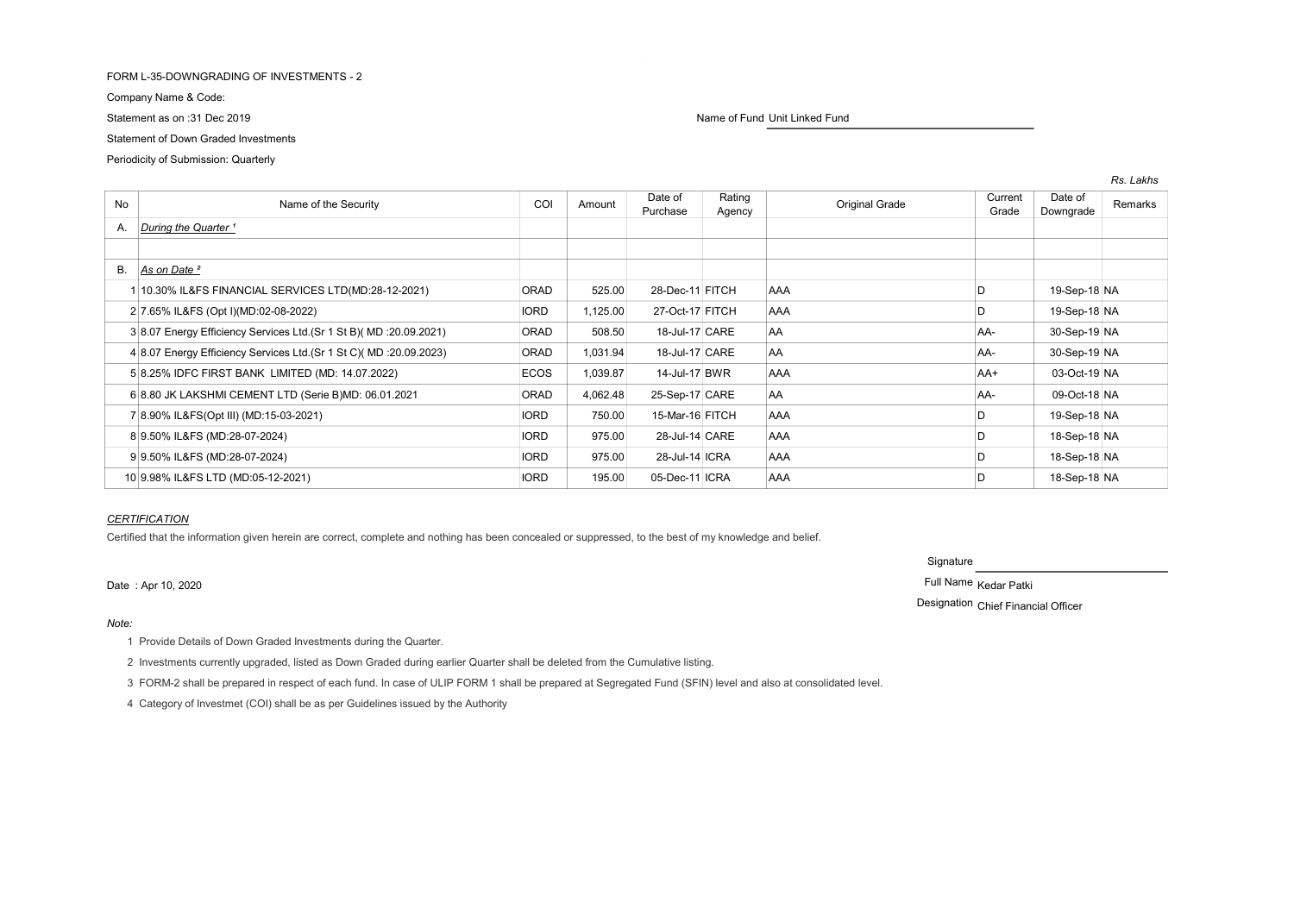## FORM L-35-DOWNGRADING OF INVESTMENTS - 2

Company Name & Code:

# Statement of Down Graded Investments

Periodicity of Submission: Quarterly

| <b>No</b> | Name of the Security                                                 | COI         | Amount   | Date of<br>Purchase | Rating<br>Agency | Original Grade | Current<br>Grade | Date of<br>Downgrade | Remarks |
|-----------|----------------------------------------------------------------------|-------------|----------|---------------------|------------------|----------------|------------------|----------------------|---------|
| А.        | During the Quarter <sup>1</sup>                                      |             |          |                     |                  |                |                  |                      |         |
|           |                                                                      |             |          |                     |                  |                |                  |                      |         |
| В.        | As on Date <sup>2</sup>                                              |             |          |                     |                  |                |                  |                      |         |
|           | 10.30% IL&FS FINANCIAL SERVICES LTD(MD:28-12-2021)                   | <b>ORAD</b> | 525.00   | 28-Dec-11 FITCH     |                  | <b>AAA</b>     | D                | 19-Sep-18 NA         |         |
|           | 2 7.65% IL&FS (Opt I)(MD:02-08-2022)                                 | <b>IORD</b> | 1,125.00 | 27-Oct-17 FITCH     |                  | <b>AAA</b>     |                  | 19-Sep-18 NA         |         |
|           | 3 8.07 Energy Efficiency Services Ltd. (Sr 1 St B) (MD : 20.09.2021) | <b>ORAD</b> | 508.50   | 18-Jul-17 CARE      |                  | AA             | AA-              | 30-Sep-19 NA         |         |
|           | 4 8.07 Energy Efficiency Services Ltd. (Sr 1 St C) (MD : 20.09.2023) | <b>ORAD</b> | 1,031.94 | 18-Jul-17 CARE      |                  | AA             | AA-              | 30-Sep-19 NA         |         |
|           | 5 8.25% IDFC FIRST BANK LIMITED (MD: 14.07.2022)                     | <b>ECOS</b> | 1,039.87 | 14-Jul-17 BWR       |                  | <b>AAA</b>     | AA+              | 03-Oct-19 NA         |         |
|           | 6 8.80 JK LAKSHMI CEMENT LTD (Serie B)MD: 06.01.2021                 | <b>ORAD</b> | 4,062.48 | 25-Sep-17 CARE      |                  | AA             | AA-              | 09-Oct-18 NA         |         |
|           | 7 8.90% IL&FS(Opt III) (MD:15-03-2021)                               | <b>IORD</b> | 750.00   | 15-Mar-16 FITCH     |                  | <b>AAA</b>     |                  | 19-Sep-18 NA         |         |
|           | 8 9.50% IL&FS (MD:28-07-2024)                                        | <b>IORD</b> | 975.00   | 28-Jul-14 CARE      |                  | <b>AAA</b>     |                  | 18-Sep-18 NA         |         |
|           | 9 9.50% IL&FS (MD:28-07-2024)                                        | <b>IORD</b> | 975.00   | 28-Jul-14 ICRA      |                  | <b>AAA</b>     |                  | 18-Sep-18 NA         |         |
|           | 10 9.98% IL&FS LTD (MD:05-12-2021)                                   | <b>IORD</b> | 195.00   | 05-Dec-11 ICRA      |                  | <b>AAA</b>     | D                | 18-Sep-18 NA         |         |

# **CERTIFICATION**

Certified that the information given herein are correct, complete and nothing has been concealed or suppressed, to the best of my knowledge and belief.

# Date : Apr 10, 2020 **Full Name Kedar Patki**

### Note:

1 Provide Details of Down Graded Investments during the Quarter.

2 Investments currently upgraded, listed as Down Graded during earlier Quarter shall be deleted from the Cumulative listing.

3 FORM-2 shall be prepared in respect of each fund. In case of ULIP FORM 1 shall be prepared at Segregated Fund (SFIN) level and also at consolidated level.

4 Category of Investmet (COI) shall be as per Guidelines issued by the Authority

Signature

Designation Chief Financial Officer

Statement as on :31 Dec 2019 **Name of Fund Unit Linked Fund** Unit Linked Fund

Rs. Lakhs